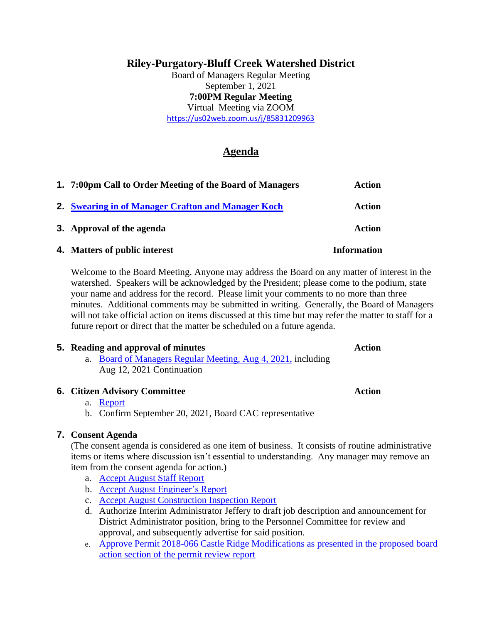# **Riley-Purgatory-Bluff Creek Watershed District**

Board of Managers Regular Meeting September 1, 2021 **7:00PM Regular Meeting** Virtual Meeting via ZOOM <https://us02web.zoom.us/j/85831209963>

# **Agenda**

| 1. 7:00pm Call to Order Meeting of the Board of Managers | <b>Action</b>      |
|----------------------------------------------------------|--------------------|
| 2. Swearing in of Manager Crafton and Manager Koch       | <b>Action</b>      |
| 3. Approval of the agenda                                | <b>Action</b>      |
| 4. Matters of public interest                            | <b>Information</b> |

Welcome to the Board Meeting. Anyone may address the Board on any matter of interest in the watershed. Speakers will be acknowledged by the President; please come to the podium, state your name and address for the record. Please limit your comments to no more than three minutes. Additional comments may be submitted in writing. Generally, the Board of Managers will not take official action on items discussed at this time but may refer the matter to staff for a future report or direct that the matter be scheduled on a future agenda.

### **5.** Reading and approval of minutes **Action Action**

a. [Board of Managers Regular Meeting, Aug 4, 2021,](https://rpbcwd.org/download_file/1851/0) including Aug 12, 2021 Continuation

### **6. Citizen Advisory Committee Action**

### a. [Report](https://rpbcwd.org/download_file/1852/0)

b. Confirm September 20, 2021, Board CAC representative

### **7. Consent Agenda**

(The consent agenda is considered as one item of business. It consists of routine administrative items or items where discussion isn't essential to understanding. Any manager may remove an item from the consent agenda for action.)

- a. [Accept August](https://rpbcwd.org/download_file/1840/0) Staff Report
- b. Accept August [Engineer's Report](https://rpbcwd.org/download_file/1841/0)
- c. Accept August [Construction Inspection Report](https://rpbcwd.org/download_file/1842/0)
- d. Authorize Interim Administrator Jeffery to draft job description and announcement for District Administrator position, bring to the Personnel Committee for review and approval, and subsequently advertise for said position.
- e. [Approve Permit 2018-066 Castle Ridge Modifications as presented in the proposed board](https://rpbcwd.org/download_file/1855/0)  [action section of the permit review report](https://rpbcwd.org/download_file/1855/0)